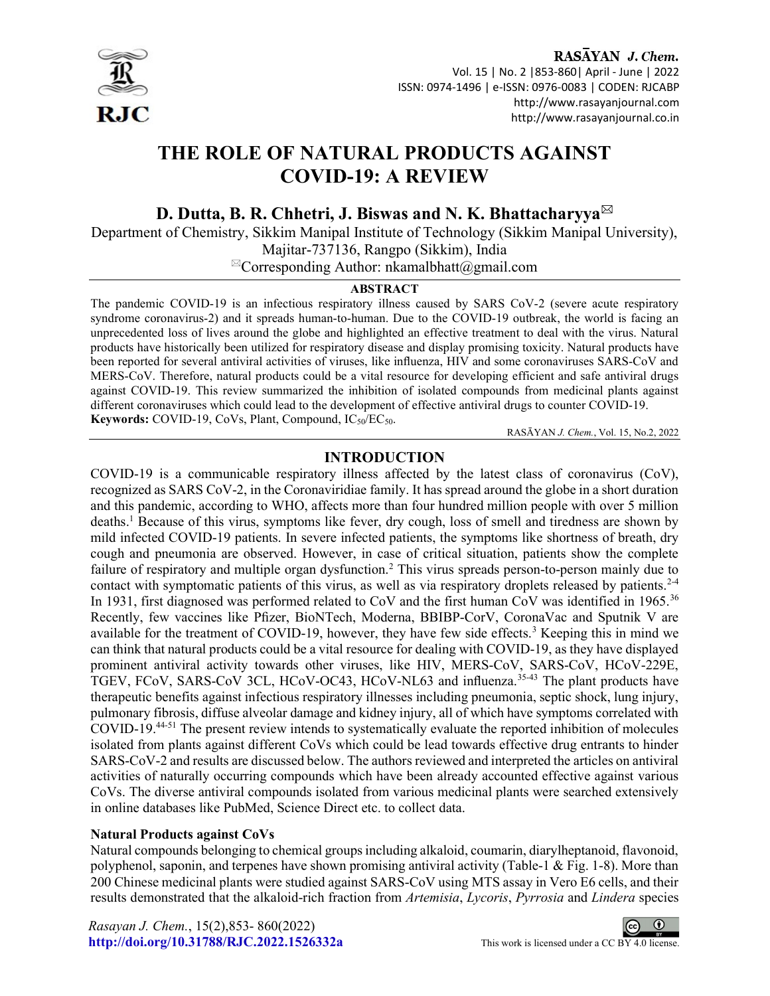

#### RASAYAN J. Chem. Vol. 15 | No. 2 |853-860| April - June | 2022 ISSN: 0974-1496 | e-ISSN: 0976-0083 | CODEN: RJCABP http://www.rasayanjournal.com http://www.rasayanjournal.co.in

# THE ROLE OF NATURAL PRODUCTS AGAINST COVID-19: A REVIEW

D. Dutta, B. R. Chhetri, J. Biswas and N. K. Bhattacharyya<sup>⊠</sup>

Department of Chemistry, Sikkim Manipal Institute of Technology (Sikkim Manipal University), Majitar-737136, Rangpo (Sikkim), India

 $^{\boxtimes}$ Corresponding Author: nkamalbhatt@gmail.com

#### ABSTRACT

The pandemic COVID-19 is an infectious respiratory illness caused by SARS CoV-2 (severe acute respiratory syndrome coronavirus-2) and it spreads human-to-human. Due to the COVID-19 outbreak, the world is facing an unprecedented loss of lives around the globe and highlighted an effective treatment to deal with the virus. Natural products have historically been utilized for respiratory disease and display promising toxicity. Natural products have been reported for several antiviral activities of viruses, like influenza, HIV and some coronaviruses SARS-CoV and MERS-CoV. Therefore, natural products could be a vital resource for developing efficient and safe antiviral drugs against COVID-19. This review summarized the inhibition of isolated compounds from medicinal plants against different coronaviruses which could lead to the development of effective antiviral drugs to counter COVID-19. Keywords: COVID-19, CoVs, Plant, Compound,  $IC_{50}/EC_{50}$ .

RASĀYAN J. Chem., Vol. 15, No.2, 2022

# INTRODUCTION

COVID-19 is a communicable respiratory illness affected by the latest class of coronavirus (CoV), recognized as SARS CoV-2, in the Coronaviridiae family. It has spread around the globe in a short duration and this pandemic, according to WHO, affects more than four hundred million people with over 5 million deaths.<sup>1</sup> Because of this virus, symptoms like fever, dry cough, loss of smell and tiredness are shown by mild infected COVID-19 patients. In severe infected patients, the symptoms like shortness of breath, dry cough and pneumonia are observed. However, in case of critical situation, patients show the complete failure of respiratory and multiple organ dysfunction.<sup>2</sup> This virus spreads person-to-person mainly due to contact with symptomatic patients of this virus, as well as via respiratory droplets released by patients.<sup>2-4</sup> In 1931, first diagnosed was performed related to CoV and the first human CoV was identified in 1965.<sup>36</sup> Recently, few vaccines like Pfizer, BioNTech, Moderna, BBIBP-CorV, CoronaVac and Sputnik V are available for the treatment of COVID-19, however, they have few side effects.<sup>3</sup> Keeping this in mind we can think that natural products could be a vital resource for dealing with COVID-19, as they have displayed prominent antiviral activity towards other viruses, like HIV, MERS-CoV, SARS-CoV, HCoV-229E, TGEV, FCoV, SARS-CoV 3CL, HCoV-OC43, HCoV-NL63 and influenza.<sup>35-43</sup> The plant products have therapeutic benefits against infectious respiratory illnesses including pneumonia, septic shock, lung injury, pulmonary fibrosis, diffuse alveolar damage and kidney injury, all of which have symptoms correlated with COVID-19.44-51 The present review intends to systematically evaluate the reported inhibition of molecules isolated from plants against different CoVs which could be lead towards effective drug entrants to hinder SARS-CoV-2 and results are discussed below. The authors reviewed and interpreted the articles on antiviral activities of naturally occurring compounds which have been already accounted effective against various CoVs. The diverse antiviral compounds isolated from various medicinal plants were searched extensively in online databases like PubMed, Science Direct etc. to collect data.

#### Natural Products against CoVs

Natural compounds belonging to chemical groups including alkaloid, coumarin, diarylheptanoid, flavonoid, polyphenol, saponin, and terpenes have shown promising antiviral activity (Table-1 & Fig. 1-8). More than 200 Chinese medicinal plants were studied against SARS-CoV using MTS assay in Vero E6 cells, and their results demonstrated that the alkaloid-rich fraction from Artemisia, Lycoris, Pyrrosia and Lindera species

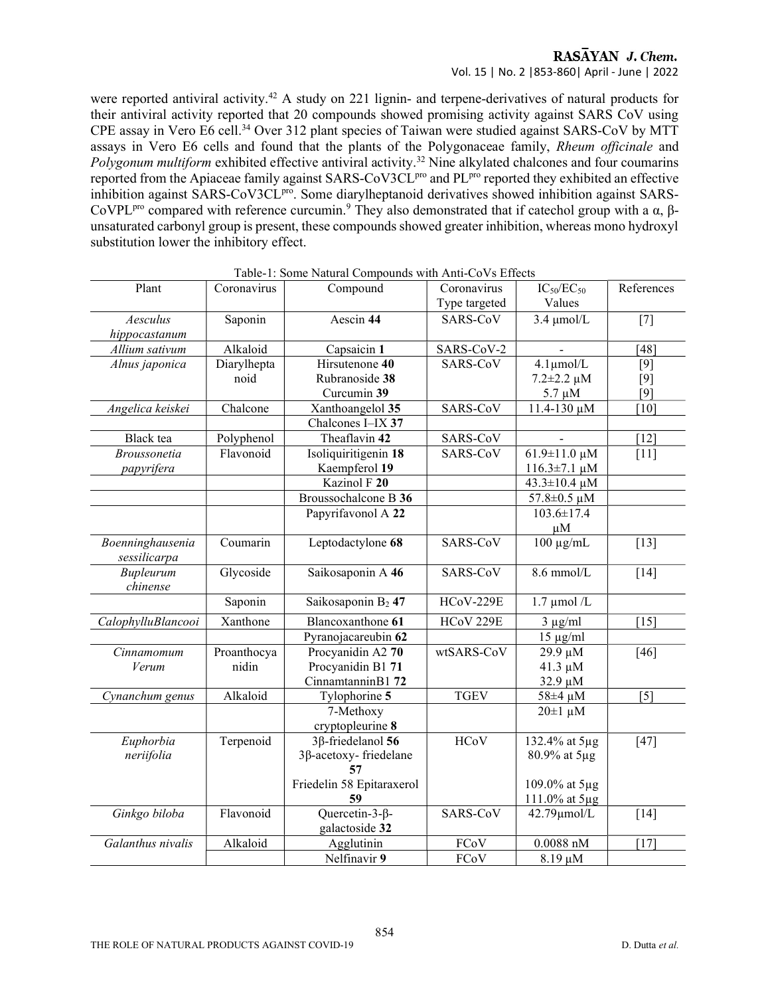#### RASAYAN J. Chem. Vol. 15 | No. 2 |853-860| April - June | 2022

were reported antiviral activity.<sup>42</sup> A study on 221 lignin- and terpene-derivatives of natural products for their antiviral activity reported that 20 compounds showed promising activity against SARS CoV using CPE assay in Vero E6 cell.<sup>34</sup> Over 312 plant species of Taiwan were studied against SARS-CoV by MTT assays in Vero E6 cells and found that the plants of the Polygonaceae family, Rheum officinale and Polygonum multiform exhibited effective antiviral activity.<sup>32</sup> Nine alkylated chalcones and four coumarins reported from the Apiaceae family against SARS-CoV3CL<sup>pro</sup> and PL<sup>pro</sup> reported they exhibited an effective inhibition against SARS-CoV3CL<sup>pro</sup>. Some diarylheptanoid derivatives showed inhibition against SARS-CoVPL<sup>pro</sup> compared with reference curcumin.<sup>9</sup> They also demonstrated that if catechol group with a  $\alpha$ ,  $\beta$ unsaturated carbonyl group is present, these compounds showed greater inhibition, whereas mono hydroxyl substitution lower the inhibitory effect.

| Plant               | Coronavirus | Compound                       | Coronavirus      | $IC_{50}/EC_{50}$       | References        |
|---------------------|-------------|--------------------------------|------------------|-------------------------|-------------------|
|                     |             |                                | Type targeted    | Values                  |                   |
| Aesculus            | Saponin     | Aescin 44                      | SARS-CoV         | $3.4 \mu$ mol/L         | $[7]$             |
| hippocastanum       |             |                                |                  |                         |                   |
| Allium sativum      | Alkaloid    | Capsaicin 1                    | SARS-CoV-2       |                         | [48]              |
| Alnus japonica      | Diarylhepta | Hirsutenone 40                 | SARS-CoV         | $4.1 \mu$ mol/L         | $[9]$             |
|                     | noid        | Rubranoside 38                 |                  | $7.2 \pm 2.2 \,\mu M$   | $[9]$             |
|                     |             | Curcumin 39                    |                  | $5.7 \mu M$             | $[9]$             |
| Angelica keiskei    | Chalcone    | Xanthoangelol 35               | SARS-CoV         | 11.4-130 μM             | [10]              |
|                     |             | Chalcones I-IX 37              |                  |                         |                   |
| Black tea           | Polyphenol  | Theaflavin 42                  | SARS-CoV         |                         | $[12]$            |
| <b>Broussonetia</b> | Flavonoid   | Isoliquiritigenin 18           | SARS-CoV         | $61.9 \pm 11.0 \,\mu M$ | [11]              |
| papyrifera          |             | Kaempferol 19                  |                  | $116.3 \pm 7.1 \mu M$   |                   |
|                     |             | Kazinol F 20                   |                  | 43.3±10.4 μM            |                   |
|                     |             | Broussochalcone B 36           |                  | 57.8±0.5 μM             |                   |
|                     |             | Papyrifavonol A 22             |                  | $103.6 \pm 17.4$        |                   |
|                     |             |                                |                  | $\mu$ M                 |                   |
| Boenninghausenia    | Coumarin    | Leptodactylone 68              | SARS-CoV         | $100 \mu g/mL$          | $[13]$            |
| sessilicarpa        |             |                                |                  |                         |                   |
| Bupleurum           | Glycoside   | Saikosaponin A 46              | SARS-CoV         | 8.6 mmol/L              | $[14]$            |
| chinense            |             |                                |                  |                         |                   |
|                     | Saponin     | Saikosaponin B <sub>2</sub> 47 | <b>HCoV-229E</b> | $1.7 \mu$ mol /L        |                   |
| CalophylluBlancooi  | Xanthone    | Blancoxanthone 61              | HCoV 229E        | $3 \mu g/ml$            | [15]              |
|                     |             | Pyranojacareubin 62            |                  | $15 \mu g/ml$           |                   |
| Cinnamomum          | Proanthocya | Procyanidin A2 70              | wtSARS-CoV       | 29.9 μM                 | $[46]$            |
| Verum               | nidin       | Procyanidin B1 71              |                  | $41.3 \mu M$            |                   |
|                     |             | CinnamtanninB1 72              |                  | 32.9 µM                 |                   |
| Cynanchum genus     | Alkaloid    | Tylophorine 5                  | <b>TGEV</b>      | 58±4 μM                 | $\lceil 5 \rceil$ |
|                     |             | 7-Methoxy                      |                  | $20 \pm 1 \mu M$        |                   |
|                     |             | cryptopleurine 8               |                  |                         |                   |
| Euphorbia           | Terpenoid   | 3β-friedelanol 56              | HCoV             | 132.4% at 5µg           | $[47]$            |
| neriifolia          |             | 3β-acetoxy-friedelane          |                  | 80.9% at 5µg            |                   |
|                     |             | 57                             |                  |                         |                   |
|                     |             | Friedelin 58 Epitaraxerol      |                  | 109.0% at 5µg           |                   |
|                     |             | 59                             |                  | 111.0% at 5µg           |                   |
| Ginkgo biloba       | Flavonoid   | Quercetin-3- $\beta$ -         | SARS-CoV         | 42.79µmol/L             | [14]              |
|                     |             | galactoside 32                 |                  |                         |                   |
| Galanthus nivalis   | Alkaloid    | Agglutinin                     | FCoV             | $0.0088$ nM             | [17]              |
|                     |             | Nelfinavir 9                   | FCoV             | $8.19 \mu M$            |                   |

Table-1: Some Natural Compounds with Anti-CoVs Effects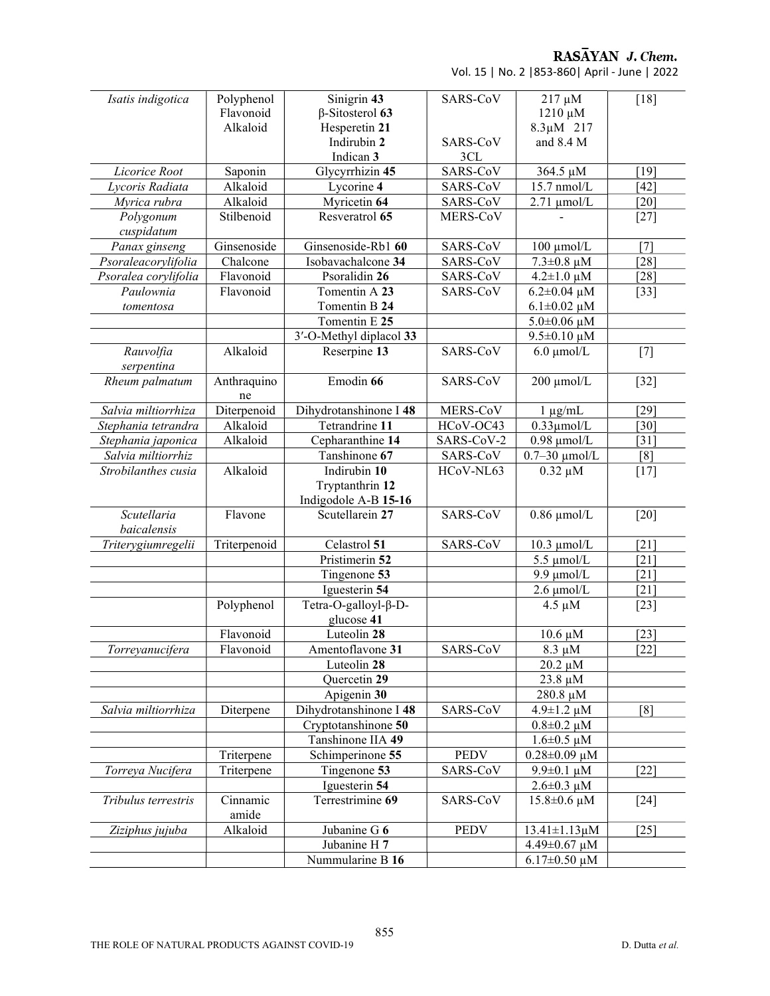RASAYAN J. Chem.

Vol. 15 | No. 2 |853-860| April - June | 2022

| Isatis indigotica    | Polyphenol   | Sinigrin 43             | SARS-CoV    | 217 µM                 | $[18]$             |
|----------------------|--------------|-------------------------|-------------|------------------------|--------------------|
|                      | Flavonoid    | $\beta$ -Sitosterol 63  |             | $1210 \mu M$           |                    |
|                      | Alkaloid     | Hesperetin 21           |             | $8.3 \mu M$ 217        |                    |
|                      |              | Indirubin 2             | SARS-CoV    | and 8.4 M              |                    |
|                      |              | Indican 3               | 3CL         |                        |                    |
| Licorice Root        | Saponin      | Glycyrrhizin 45         | SARS-CoV    | 364.5 µM               | [19]               |
| Lycoris Radiata      | Alkaloid     | Lycorine 4              | SARS-CoV    | 15.7 nmol/L            | $[42]$             |
| Myrica rubra         | Alkaloid     | Myricetin 64            | SARS-CoV    | $2.71 \mu$ mol/L       | [20]               |
| Polygonum            | Stilbenoid   | Resveratrol 65          | MERS-CoV    |                        | $[27]$             |
| cuspidatum           |              |                         |             |                        |                    |
| Panax ginseng        | Ginsenoside  | Ginsenoside-Rb1 60      | SARS-CoV    | $100 \mu$ mol/L        | [7]                |
| Psoraleacorylifolia  | Chalcone     | Isobavachalcone 34      | SARS-CoV    | $7.3 \pm 0.8 \mu M$    | [28]               |
| Psoralea corylifolia | Flavonoid    | Psoralidin 26           | SARS-CoV    | $4.2 \pm 1.0 \,\mu M$  | [28]               |
| Paulownia            | Flavonoid    | Tomentin A 23           | SARS-CoV    | $6.2 \pm 0.04 \mu M$   | $[33]$             |
| tomentosa            |              | Tomentin B 24           |             | $6.1 \pm 0.02 \mu M$   |                    |
|                      |              | Tomentin E 25           |             | $5.0 \pm 0.06 \mu M$   |                    |
|                      |              | 3'-O-Methyl diplacol 33 |             | $9.5 \pm 0.10 \mu M$   |                    |
| Rauvolfia            | Alkaloid     | Reserpine 13            | SARS-CoV    | $6.0 \mu$ mol/L        | $[7]$              |
| serpentina           |              |                         |             |                        |                    |
| Rheum palmatum       | Anthraquino  | Emodin 66               | SARS-CoV    | 200 µmol/L             | $[32]$             |
|                      | ne           |                         |             |                        |                    |
| Salvia miltiorrhiza  | Diterpenoid  | Dihydrotanshinone I 48  | MERS-CoV    | $1 \mu g/mL$           | [29]               |
| Stephania tetrandra  | Alkaloid     | Tetrandrine 11          | HCoV-OC43   | $0.33 \mu$ mol/L       | $[30]$             |
| Stephania japonica   | Alkaloid     | Cepharanthine 14        | SARS-CoV-2  | $0.98 \mu$ mol/L       | $\lceil 31 \rceil$ |
| Salvia miltiorrhiz   |              | Tanshinone 67           | SARS-CoV    | $0.7-30$ µmol/L        | [8]                |
| Strobilanthes cusia  | Alkaloid     | Indirubin 10            | HCoV-NL63   | $0.32 \mu M$           | $[17]$             |
|                      |              | Tryptanthrin 12         |             |                        |                    |
|                      |              | Indigodole A-B 15-16    |             |                        |                    |
| Scutellaria          | Flavone      | Scutellarein 27         | SARS-CoV    | $0.86 \mu$ mol/L       | $[20]$             |
| baicalensis          |              |                         |             |                        |                    |
| Triterygiumregelii   | Triterpenoid | Celastrol 51            | SARS-CoV    | $10.3 \mu$ mol/L       | $\lceil 21 \rceil$ |
|                      |              | Pristimerin 52          |             | $5.5 \mu$ mol/L        | $\lceil 21 \rceil$ |
|                      |              | Tingenone 53            |             | $9.9 \mu$ mol/L        | $\lceil 21 \rceil$ |
|                      |              | Iguesterin 54           |             | $2.6 \mu$ mol/L        | $\lceil 21 \rceil$ |
|                      | Polyphenol   | Tetra-O-galloyl-β-D-    |             | $4.5 \mu M$            | $[23]$             |
|                      |              | glucose 41              |             |                        |                    |
|                      | Flavonoid    | Luteolin 28             |             | $10.6 \mu M$           | $\left[23\right]$  |
| Torreyanucifera      | Flavonoid    | Amentoflavone 31        | SARS-CoV    | $8.3 \mu M$            | $[22]$             |
|                      |              | Luteolin 28             |             | $20.2 \mu M$           |                    |
|                      |              | Quercetin 29            |             | 23.8 µM                |                    |
|                      |              | Apigenin 30             |             | 280.8 µM               |                    |
| Salvia miltiorrhiza  | Diterpene    | Dihydrotanshinone I 48  | SARS-CoV    | $4.9 \pm 1.2 \mu M$    | [8]                |
|                      |              | Cryptotanshinone 50     |             | $0.8 \pm 0.2 \mu M$    |                    |
|                      |              | Tanshinone IIA 49       |             | $1.6 \pm 0.5 \mu M$    |                    |
|                      | Triterpene   | Schimperinone 55        | <b>PEDV</b> | $0.28 \pm 0.09 \mu M$  |                    |
| Torreya Nucifera     | Triterpene   | Tingenone 53            | SARS-CoV    | $9.9 \pm 0.1 \mu M$    | [22]               |
|                      |              | Iguesterin 54           |             | $2.6 \pm 0.3 \mu M$    |                    |
| Tribulus terrestris  | Cinnamic     | Terrestrimine 69        | SARS-CoV    | $15.8 \pm 0.6 \,\mu M$ | $[24]$             |
|                      | amide        |                         |             |                        |                    |
| Ziziphus jujuba      | Alkaloid     | Jubanine G 6            | <b>PEDV</b> | $13.41 \pm 1.13 \mu M$ | $[25]$             |
|                      |              | Jubanine H 7            |             | 4.49 $\pm$ 0.67 µM     |                    |
|                      |              | Nummularine B 16        |             | $6.17 \pm 0.50 \mu M$  |                    |
|                      |              |                         |             |                        |                    |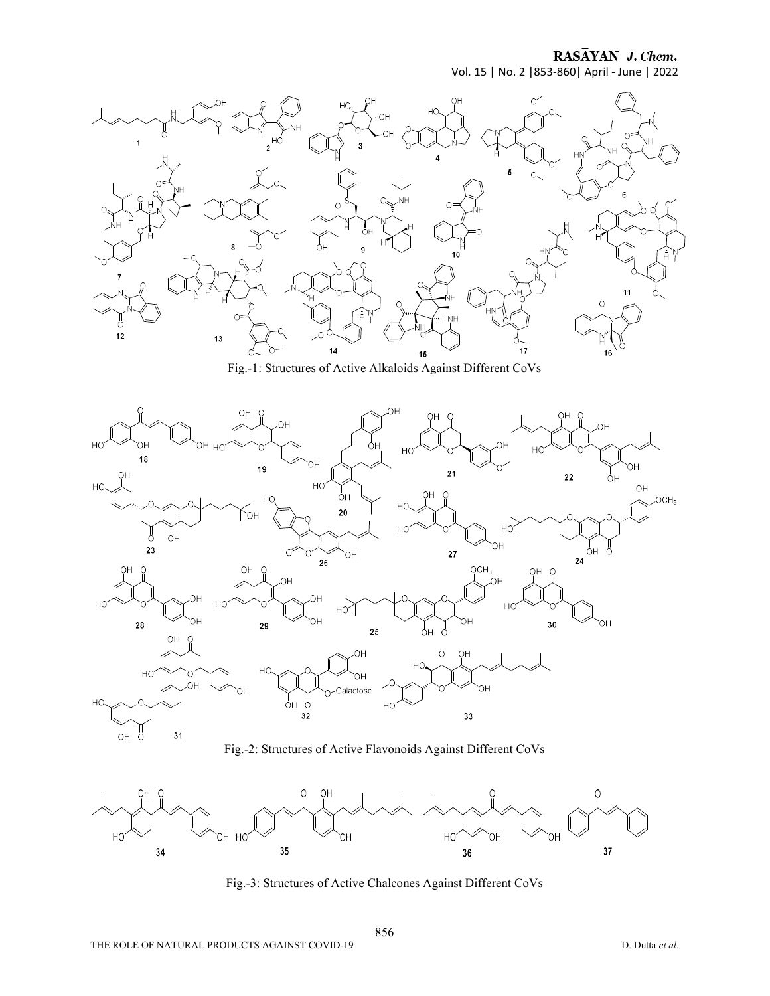RASAYAN J. Chem.

Vol. 15 | No. 2 |853-860| April - June | 2022



Fig.-1: Structures of Active Alkaloids Against Different CoVs



Fig.-2: Structures of Active Flavonoids Against Different CoVs



Fig.-3: Structures of Active Chalcones Against Different CoVs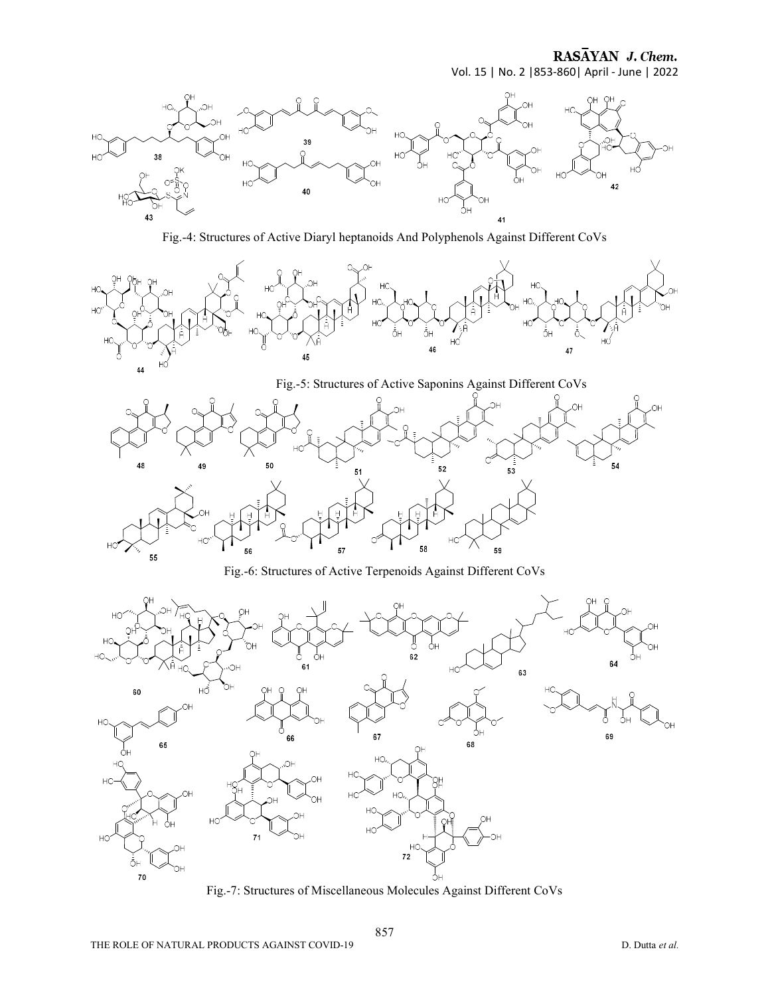RASAYAN J. Chem. Vol. 15 | No. 2 |853-860| April - June | 2022



Fig.-4: Structures of Active Diaryl heptanoids And Polyphenols Against Different CoVs



Fig.-5: Structures of Active Saponins Against Different CoVs



Fig.-6: Structures of Active Terpenoids Against Different CoVs



Fig.-7: Structures of Miscellaneous Molecules Against Different CoVs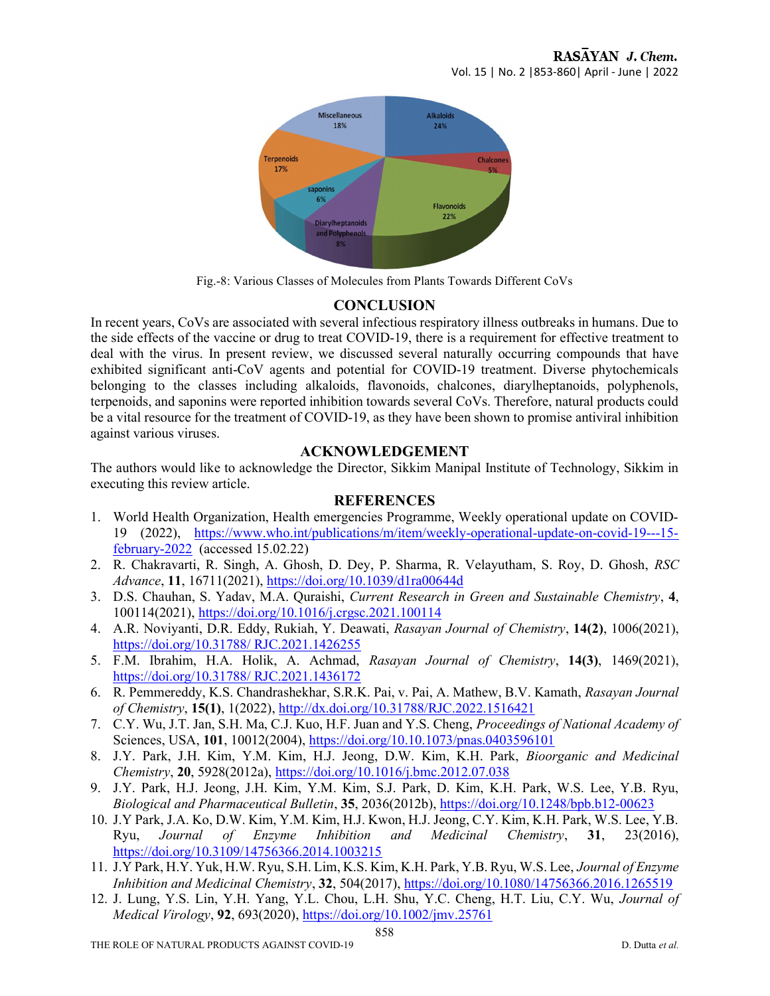

Fig.-8: Various Classes of Molecules from Plants Towards Different CoVs

## **CONCLUSION**

In recent years, CoVs are associated with several infectious respiratory illness outbreaks in humans. Due to the side effects of the vaccine or drug to treat COVID-19, there is a requirement for effective treatment to deal with the virus. In present review, we discussed several naturally occurring compounds that have exhibited significant anti-CoV agents and potential for COVID-19 treatment. Diverse phytochemicals belonging to the classes including alkaloids, flavonoids, chalcones, diarylheptanoids, polyphenols, terpenoids, and saponins were reported inhibition towards several CoVs. Therefore, natural products could be a vital resource for the treatment of COVID-19, as they have been shown to promise antiviral inhibition against various viruses.

## ACKNOWLEDGEMENT

The authors would like to acknowledge the Director, Sikkim Manipal Institute of Technology, Sikkim in executing this review article.

## **REFERENCES**

- 1. World Health Organization, Health emergencies Programme, Weekly operational update on COVID-19 (2022), https://www.who.int/publications/m/item/weekly-operational-update-on-covid-19---15 february-2022 (accessed 15.02.22)
- 2. R. Chakravarti, R. Singh, A. Ghosh, D. Dey, P. Sharma, R. Velayutham, S. Roy, D. Ghosh, RSC Advance, 11, 16711(2021), https://doi.org/10.1039/d1ra00644d
- 3. D.S. Chauhan, S. Yadav, M.A. Quraishi, Current Research in Green and Sustainable Chemistry, 4, 100114(2021), https://doi.org/10.1016/j.crgsc.2021.100114
- 4. A.R. Noviyanti, D.R. Eddy, Rukiah, Y. Deawati, Rasayan Journal of Chemistry, 14(2), 1006(2021), https://doi.org/10.31788/ RJC.2021.1426255
- 5. F.M. Ibrahim, H.A. Holik, A. Achmad, Rasayan Journal of Chemistry, 14(3), 1469(2021), https://doi.org/10.31788/ RJC.2021.1436172
- 6. R. Pemmereddy, K.S. Chandrashekhar, S.R.K. Pai, v. Pai, A. Mathew, B.V. Kamath, Rasayan Journal of Chemistry, 15(1), 1(2022), http://dx.doi.org/10.31788/RJC.2022.1516421
- 7. C.Y. Wu, J.T. Jan, S.H. Ma, C.J. Kuo, H.F. Juan and Y.S. Cheng, Proceedings of National Academy of Sciences, USA, 101, 10012(2004), https://doi.org/10.10.1073/pnas.0403596101
- 8. J.Y. Park, J.H. Kim, Y.M. Kim, H.J. Jeong, D.W. Kim, K.H. Park, Bioorganic and Medicinal Chemistry, 20, 5928(2012a), https://doi.org/10.1016/j.bmc.2012.07.038
- 9. J.Y. Park, H.J. Jeong, J.H. Kim, Y.M. Kim, S.J. Park, D. Kim, K.H. Park, W.S. Lee, Y.B. Ryu, Biological and Pharmaceutical Bulletin, 35, 2036(2012b), https://doi.org/10.1248/bpb.b12-00623
- 10. J.Y Park, J.A. Ko, D.W. Kim, Y.M. Kim, H.J. Kwon, H.J. Jeong, C.Y. Kim, K.H. Park, W.S. Lee, Y.B. Ryu, Journal of Enzyme Inhibition and Medicinal Chemistry, 31, 23(2016), https://doi.org/10.3109/14756366.2014.1003215
- 11. J.Y Park, H.Y. Yuk, H.W. Ryu, S.H. Lim, K.S. Kim, K.H. Park, Y.B. Ryu, W.S. Lee, Journal of Enzyme Inhibition and Medicinal Chemistry, 32, 504(2017), https://doi.org/10.1080/14756366.2016.1265519
- 12. J. Lung, Y.S. Lin, Y.H. Yang, Y.L. Chou, L.H. Shu, Y.C. Cheng, H.T. Liu, C.Y. Wu, Journal of Medical Virology, 92, 693(2020), https://doi.org/10.1002/jmv.25761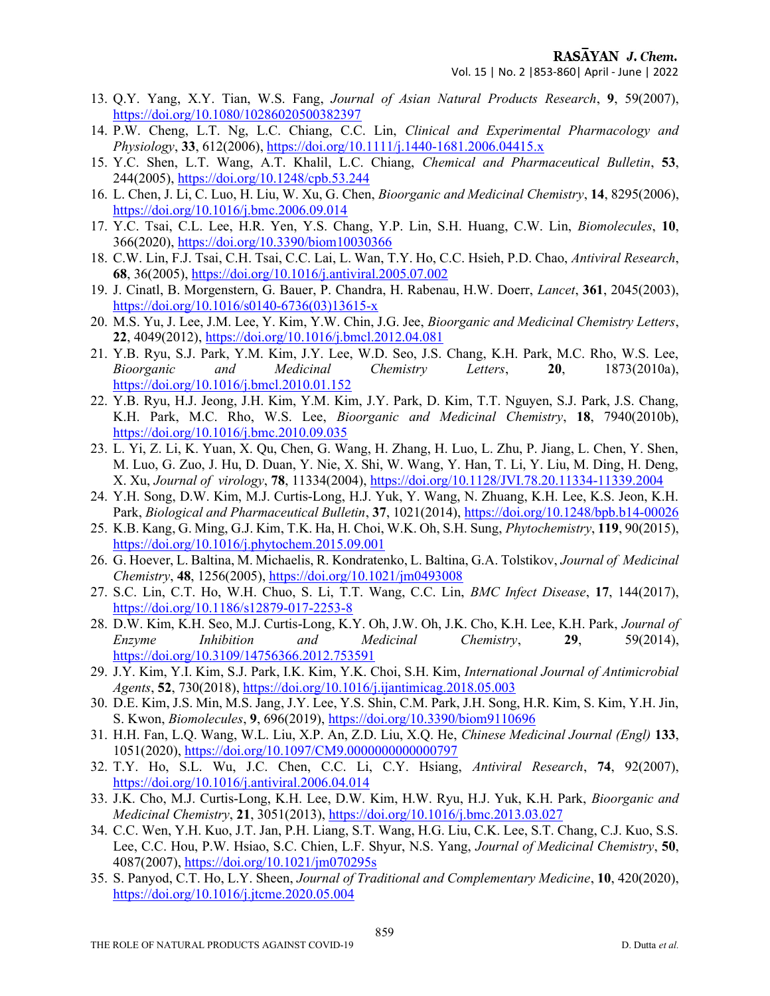- 13. Q.Y. Yang, X.Y. Tian, W.S. Fang, Journal of Asian Natural Products Research, 9, 59(2007), https://doi.org/10.1080/10286020500382397
- 14. P.W. Cheng, L.T. Ng, L.C. Chiang, C.C. Lin, Clinical and Experimental Pharmacology and Physiology, 33, 612(2006), https://doi.org/10.1111/j.1440-1681.2006.04415.x
- 15. Y.C. Shen, L.T. Wang, A.T. Khalil, L.C. Chiang, Chemical and Pharmaceutical Bulletin, 53, 244(2005), https://doi.org/10.1248/cpb.53.244
- 16. L. Chen, J. Li, C. Luo, H. Liu, W. Xu, G. Chen, Bioorganic and Medicinal Chemistry, 14, 8295(2006), https://doi.org/10.1016/j.bmc.2006.09.014
- 17. Y.C. Tsai, C.L. Lee, H.R. Yen, Y.S. Chang, Y.P. Lin, S.H. Huang, C.W. Lin, Biomolecules, 10, 366(2020), https://doi.org/10.3390/biom10030366
- 18. C.W. Lin, F.J. Tsai, C.H. Tsai, C.C. Lai, L. Wan, T.Y. Ho, C.C. Hsieh, P.D. Chao, Antiviral Research, 68, 36(2005), https://doi.org/10.1016/j.antiviral.2005.07.002
- 19. J. Cinatl, B. Morgenstern, G. Bauer, P. Chandra, H. Rabenau, H.W. Doerr, Lancet, 361, 2045(2003), https://doi.org/10.1016/s0140-6736(03)13615-x
- 20. M.S. Yu, J. Lee, J.M. Lee, Y. Kim, Y.W. Chin, J.G. Jee, Bioorganic and Medicinal Chemistry Letters, 22, 4049(2012), https://doi.org/10.1016/j.bmcl.2012.04.081
- 21. Y.B. Ryu, S.J. Park, Y.M. Kim, J.Y. Lee, W.D. Seo, J.S. Chang, K.H. Park, M.C. Rho, W.S. Lee, Bioorganic and Medicinal Chemistry Letters, 20, 1873(2010a), https://doi.org/10.1016/j.bmcl.2010.01.152
- 22. Y.B. Ryu, H.J. Jeong, J.H. Kim, Y.M. Kim, J.Y. Park, D. Kim, T.T. Nguyen, S.J. Park, J.S. Chang, K.H. Park, M.C. Rho, W.S. Lee, Bioorganic and Medicinal Chemistry, 18, 7940(2010b), https://doi.org/10.1016/j.bmc.2010.09.035
- 23. L. Yi, Z. Li, K. Yuan, X. Qu, Chen, G. Wang, H. Zhang, H. Luo, L. Zhu, P. Jiang, L. Chen, Y. Shen, M. Luo, G. Zuo, J. Hu, D. Duan, Y. Nie, X. Shi, W. Wang, Y. Han, T. Li, Y. Liu, M. Ding, H. Deng, X. Xu, Journal of virology, 78, 11334(2004), https://doi.org/10.1128/JVI.78.20.11334-11339.2004
- 24. Y.H. Song, D.W. Kim, M.J. Curtis-Long, H.J. Yuk, Y. Wang, N. Zhuang, K.H. Lee, K.S. Jeon, K.H. Park, Biological and Pharmaceutical Bulletin, 37, 1021(2014), https://doi.org/10.1248/bpb.b14-00026
- 25. K.B. Kang, G. Ming, G.J. Kim, T.K. Ha, H. Choi, W.K. Oh, S.H. Sung, Phytochemistry, 119, 90(2015), https://doi.org/10.1016/j.phytochem.2015.09.001
- 26. G. Hoever, L. Baltina, M. Michaelis, R. Kondratenko, L. Baltina, G.A. Tolstikov, Journal of Medicinal Chemistry, 48, 1256(2005), https://doi.org/10.1021/jm0493008
- 27. S.C. Lin, C.T. Ho, W.H. Chuo, S. Li, T.T. Wang, C.C. Lin, BMC Infect Disease, 17, 144(2017), https://doi.org/10.1186/s12879-017-2253-8
- 28. D.W. Kim, K.H. Seo, M.J. Curtis-Long, K.Y. Oh, J.W. Oh, J.K. Cho, K.H. Lee, K.H. Park, Journal of Enzyme Inhibition and Medicinal Chemistry, 29, 59(2014), https://doi.org/10.3109/14756366.2012.753591
- 29. J.Y. Kim, Y.I. Kim, S.J. Park, I.K. Kim, Y.K. Choi, S.H. Kim, International Journal of Antimicrobial Agents, 52, 730(2018), https://doi.org/10.1016/j.ijantimicag.2018.05.003
- 30. D.E. Kim, J.S. Min, M.S. Jang, J.Y. Lee, Y.S. Shin, C.M. Park, J.H. Song, H.R. Kim, S. Kim, Y.H. Jin, S. Kwon, Biomolecules, 9, 696(2019), https://doi.org/10.3390/biom9110696
- 31. H.H. Fan, L.Q. Wang, W.L. Liu, X.P. An, Z.D. Liu, X.Q. He, Chinese Medicinal Journal (Engl) 133, 1051(2020), https://doi.org/10.1097/CM9.0000000000000797
- 32. T.Y. Ho, S.L. Wu, J.C. Chen, C.C. Li, C.Y. Hsiang, Antiviral Research, 74, 92(2007), https://doi.org/10.1016/j.antiviral.2006.04.014
- 33. J.K. Cho, M.J. Curtis-Long, K.H. Lee, D.W. Kim, H.W. Ryu, H.J. Yuk, K.H. Park, Bioorganic and Medicinal Chemistry, 21, 3051(2013), https://doi.org/10.1016/j.bmc.2013.03.027
- 34. C.C. Wen, Y.H. Kuo, J.T. Jan, P.H. Liang, S.T. Wang, H.G. Liu, C.K. Lee, S.T. Chang, C.J. Kuo, S.S. Lee, C.C. Hou, P.W. Hsiao, S.C. Chien, L.F. Shyur, N.S. Yang, *Journal of Medicinal Chemistry*, 50, 4087(2007), https://doi.org/10.1021/jm070295s
- 35. S. Panyod, C.T. Ho, L.Y. Sheen, Journal of Traditional and Complementary Medicine, 10, 420(2020), https://doi.org/10.1016/j.jtcme.2020.05.004